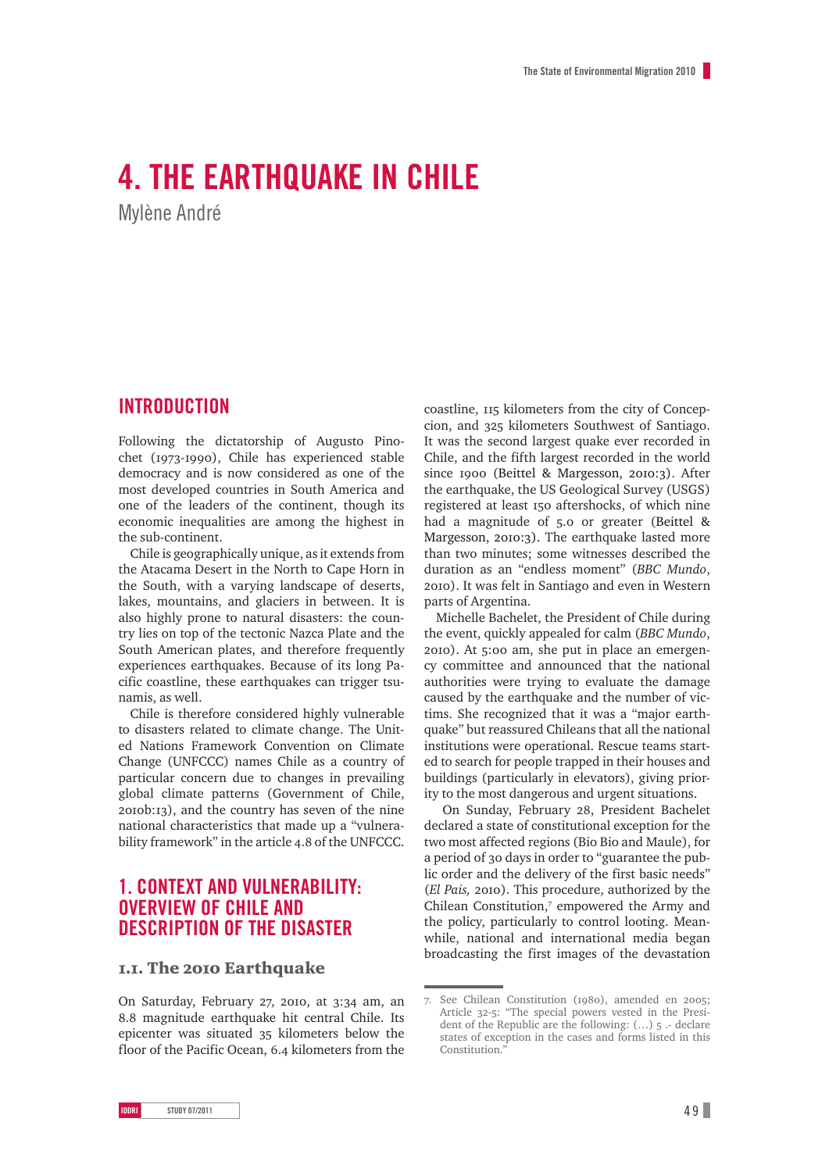# **4. The Earthquake in Chile**

Mylène André

# **Introduction**

Following the dictatorship of Augusto Pinochet (1973-1990), Chile has experienced stable democracy and is now considered as one of the most developed countries in South America and one of the leaders of the continent, though its economic inequalities are among the highest in the sub-continent.

Chile is geographically unique, as it extends from the Atacama Desert in the North to Cape Horn in the South, with a varying landscape of deserts, lakes, mountains, and glaciers in between. It is also highly prone to natural disasters: the country lies on top of the tectonic Nazca Plate and the South American plates, and therefore frequently experiences earthquakes. Because of its long Pacific coastline, these earthquakes can trigger tsunamis, as well.

Chile is therefore considered highly vulnerable to disasters related to climate change. The United Nations Framework Convention on Climate Change (UNFCCC) names Chile as a country of particular concern due to changes in prevailing global climate patterns (Government of Chile, 2010b:13), and the country has seven of the nine national characteristics that made up a "vulnerability framework" in the article 4.8 of the UNFCCC.

# **1. Context and vulnerability: overview of Chile and description of the disaster**

## 1.1. The 2010 Earthquake

On Saturday, February 27, 2010, at 3:34 am, an 8.8 magnitude earthquake hit central Chile. Its epicenter was situated 35 kilometers below the floor of the Pacific Ocean, 6.4 kilometers from the coastline, 115 kilometers from the city of Concepcion, and 325 kilometers Southwest of Santiago. It was the second largest quake ever recorded in Chile, and the fifth largest recorded in the world since 1900 (Beittel & Margesson, 2010:3). After the earthquake, the US Geological Survey (USGS) registered at least 150 aftershocks, of which nine had a magnitude of 5.0 or greater (Beittel & Margesson, 2010:3). The earthquake lasted more than two minutes; some witnesses described the duration as an "endless moment" (*BBC Mundo*, 2010). It was felt in Santiago and even in Western parts of Argentina.

Michelle Bachelet, the President of Chile during the event, quickly appealed for calm (*BBC Mundo*, 2010). At 5:00 am, she put in place an emergency committee and announced that the national authorities were trying to evaluate the damage caused by the earthquake and the number of victims. She recognized that it was a "major earthquake" but reassured Chileans that all the national institutions were operational. Rescue teams started to search for people trapped in their houses and buildings (particularly in elevators), giving priority to the most dangerous and urgent situations.

 On Sunday, February 28, President Bachelet declared a state of constitutional exception for the two most affected regions (Bio Bio and Maule), for a period of 30 days in order to "guarantee the public order and the delivery of the first basic needs" (*El Pais,* 2010). This procedure, authorized by the Chilean Constitution,7 empowered the Army and the policy, particularly to control looting. Meanwhile, national and international media began broadcasting the first images of the devastation

<sup>7.</sup> See Chilean Constitution (1980), amended en 2005; Article 32-5: "The special powers vested in the President of the Republic are the following: (…) 5 .- declare states of exception in the cases and forms listed in this Constitution.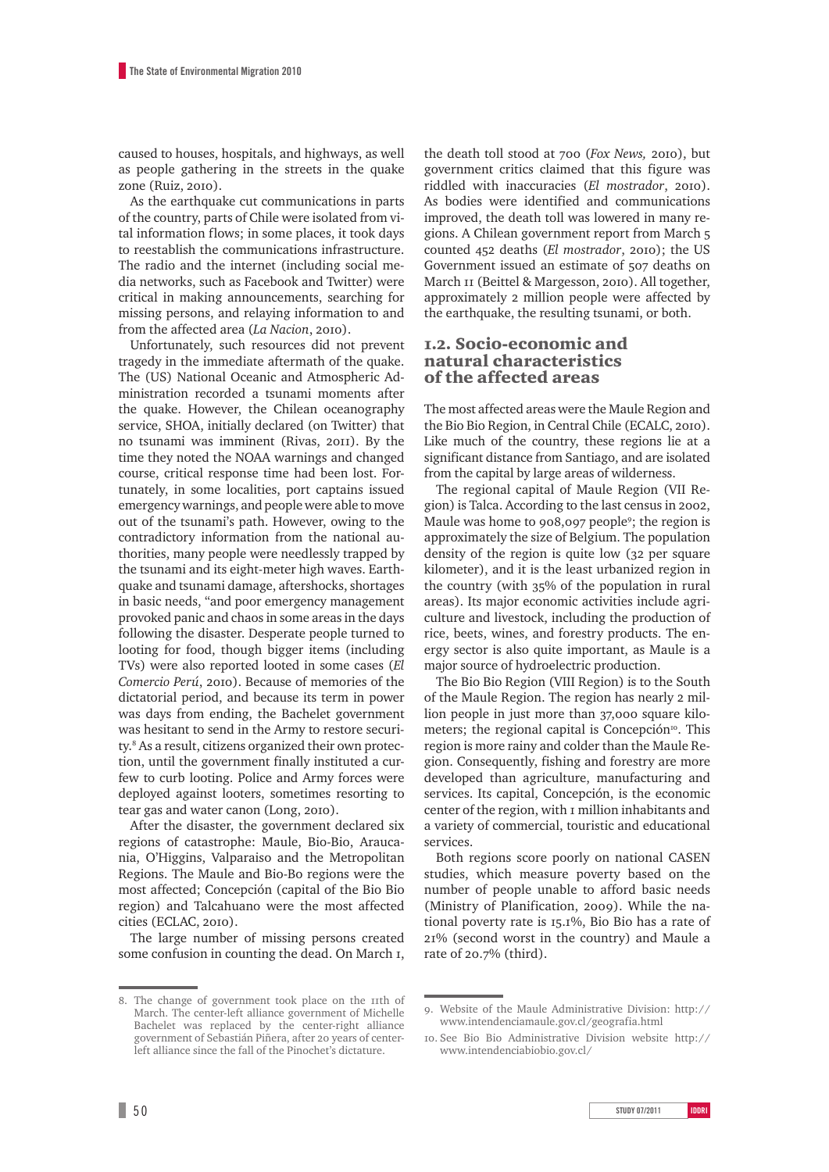caused to houses, hospitals, and highways, as well as people gathering in the streets in the quake zone (Ruiz, 2010).

As the earthquake cut communications in parts of the country, parts of Chile were isolated from vital information flows; in some places, it took days to reestablish the communications infrastructure. The radio and the internet (including social media networks, such as Facebook and Twitter) were critical in making announcements, searching for missing persons, and relaying information to and from the affected area (*La Nacion*, 2010).

Unfortunately, such resources did not prevent tragedy in the immediate aftermath of the quake. The (US) National Oceanic and Atmospheric Administration recorded a tsunami moments after the quake. However, the Chilean oceanography service, SHOA, initially declared (on Twitter) that no tsunami was imminent (Rivas, 2011). By the time they noted the NOAA warnings and changed course, critical response time had been lost. Fortunately, in some localities, port captains issued emergency warnings, and people were able to move out of the tsunami's path. However, owing to the contradictory information from the national authorities, many people were needlessly trapped by the tsunami and its eight-meter high waves. Earthquake and tsunami damage, aftershocks, shortages in basic needs, "and poor emergency management provoked panic and chaos in some areas in the days following the disaster. Desperate people turned to looting for food, though bigger items (including TVs) were also reported looted in some cases (*El Comercio Perú*, 2010). Because of memories of the dictatorial period, and because its term in power was days from ending, the Bachelet government was hesitant to send in the Army to restore security.8 As a result, citizens organized their own protection, until the government finally instituted a curfew to curb looting. Police and Army forces were deployed against looters, sometimes resorting to tear gas and water canon (Long, 2010).

After the disaster, the government declared six regions of catastrophe: Maule, Bio-Bio, Araucania, O'Higgins, Valparaiso and the Metropolitan Regions. The Maule and Bio-Bo regions were the most affected; Concepción (capital of the Bio Bio region) and Talcahuano were the most affected cities (ECLAC, 2010).

The large number of missing persons created some confusion in counting the dead. On March 1,

8. The change of government took place on the 11th of March. The center-left alliance government of Michelle Bachelet was replaced by the center-right alliance government of Sebastián Piñera, after 20 years of centerleft alliance since the fall of the Pinochet's dictature.

the death toll stood at 700 (*Fox News,* 2010), but government critics claimed that this figure was riddled with inaccuracies (*El mostrador*, 2010). As bodies were identified and communications improved, the death toll was lowered in many regions. A Chilean government report from March 5 counted 452 deaths (*El mostrador*, 2010); the US Government issued an estimate of 507 deaths on March 11 (Beittel & Margesson, 2010). All together, approximately 2 million people were affected by the earthquake, the resulting tsunami, or both.

## 1.2. Socio-economic and natural characteristics of the affected areas

The most affected areas were the Maule Region and the Bio Bio Region, in Central Chile (ECALC, 2010). Like much of the country, these regions lie at a significant distance from Santiago, and are isolated from the capital by large areas of wilderness.

The regional capital of Maule Region (VII Region) is Talca. According to the last census in 2002, Maule was home to 908,097 people<sup>9</sup>; the region is approximately the size of Belgium. The population density of the region is quite low (32 per square kilometer), and it is the least urbanized region in the country (with 35% of the population in rural areas). Its major economic activities include agriculture and livestock, including the production of rice, beets, wines, and forestry products. The energy sector is also quite important, as Maule is a major source of hydroelectric production.

The Bio Bio Region (VIII Region) is to the South of the Maule Region. The region has nearly 2 million people in just more than 37,000 square kilometers; the regional capital is Concepción<sup>10</sup>. This region is more rainy and colder than the Maule Region. Consequently, fishing and forestry are more developed than agriculture, manufacturing and services. Its capital, Concepción, is the economic center of the region, with 1 million inhabitants and a variety of commercial, touristic and educational services.

Both regions score poorly on national CASEN studies, which measure poverty based on the number of people unable to afford basic needs (Ministry of Planification, 2009). While the national poverty rate is 15.1%, Bio Bio has a rate of 21% (second worst in the country) and Maule a rate of 20.7% (third).

<sup>9.</sup> Website of the Maule Administrative Division: http:// www.intendenciamaule.gov.cl/geografia.html

<sup>10.</sup> See Bio Bio Administrative Division website http:// www.intendenciabiobio.gov.cl/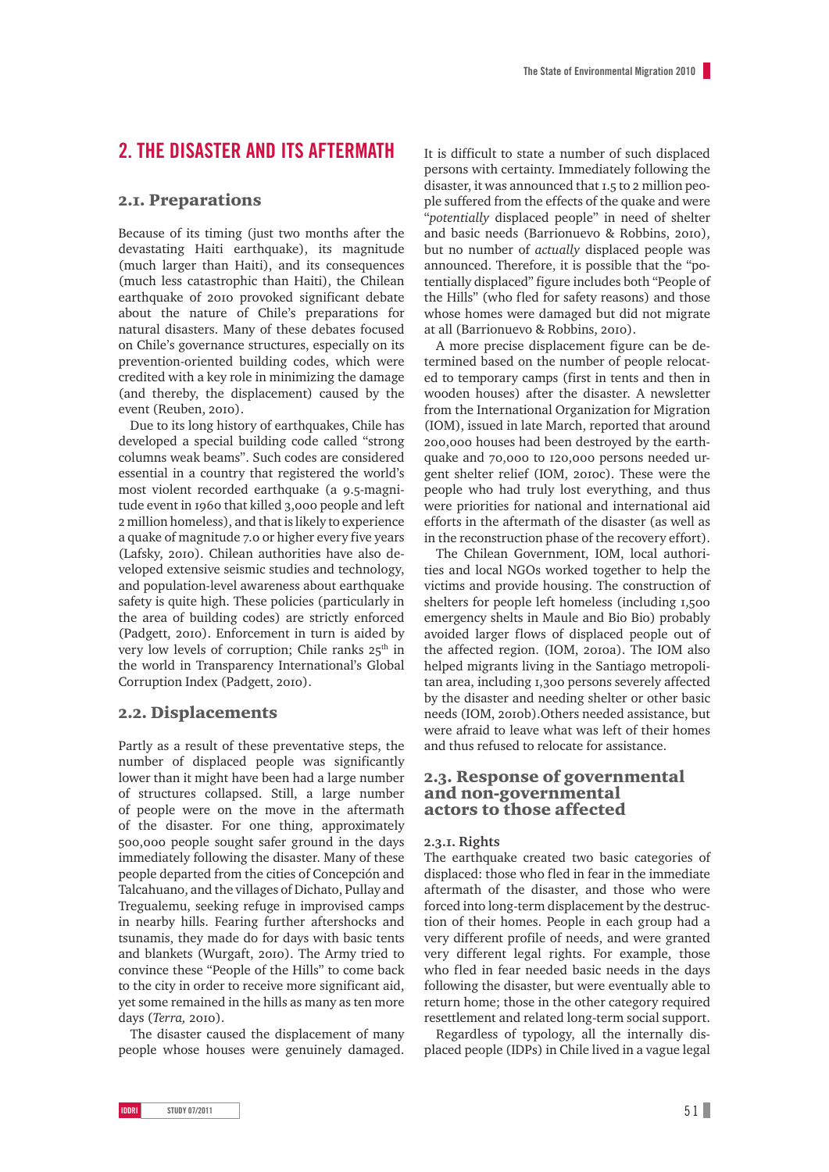# **2. The Disaster and Its Aftermath**

## 2.1. Preparations

Because of its timing (just two months after the devastating Haiti earthquake), its magnitude (much larger than Haiti), and its consequences (much less catastrophic than Haiti), the Chilean earthquake of 2010 provoked significant debate about the nature of Chile's preparations for natural disasters. Many of these debates focused on Chile's governance structures, especially on its prevention-oriented building codes, which were credited with a key role in minimizing the damage (and thereby, the displacement) caused by the event (Reuben, 2010).

Due to its long history of earthquakes, Chile has developed a special building code called "strong columns weak beams". Such codes are considered essential in a country that registered the world's most violent recorded earthquake (a 9.5-magnitude event in 1960 that killed 3,000 people and left 2 million homeless), and that is likely to experience a quake of magnitude 7.0 or higher every five years (Lafsky, 2010). Chilean authorities have also developed extensive seismic studies and technology, and population-level awareness about earthquake safety is quite high. These policies (particularly in the area of building codes) are strictly enforced (Padgett, 2010). Enforcement in turn is aided by very low levels of corruption; Chile ranks  $25<sup>th</sup>$  in the world in Transparency International's Global Corruption Index (Padgett, 2010).

## 2.2. Displacements

Partly as a result of these preventative steps, the number of displaced people was significantly lower than it might have been had a large number of structures collapsed. Still, a large number of people were on the move in the aftermath of the disaster. For one thing, approximately 500,000 people sought safer ground in the days immediately following the disaster. Many of these people departed from the cities of Concepción and Talcahuano, and the villages of Dichato, Pullay and Tregualemu, seeking refuge in improvised camps in nearby hills. Fearing further aftershocks and tsunamis, they made do for days with basic tents and blankets (Wurgaft, 2010). The Army tried to convince these "People of the Hills" to come back to the city in order to receive more significant aid, yet some remained in the hills as many as ten more days (*Terra,* 2010).

The disaster caused the displacement of many people whose houses were genuinely damaged. It is difficult to state a number of such displaced persons with certainty. Immediately following the disaster, it was announced that 1.5 to 2 million people suffered from the effects of the quake and were "*potentially* displaced people" in need of shelter and basic needs (Barrionuevo & Robbins, 2010), but no number of *actually* displaced people was announced. Therefore, it is possible that the "potentially displaced" figure includes both "People of the Hills" (who fled for safety reasons) and those whose homes were damaged but did not migrate at all (Barrionuevo & Robbins, 2010).

A more precise displacement figure can be determined based on the number of people relocated to temporary camps (first in tents and then in wooden houses) after the disaster. A newsletter from the International Organization for Migration (IOM), issued in late March, reported that around 200,000 houses had been destroyed by the earthquake and 70,000 to 120,000 persons needed urgent shelter relief (IOM, 2010c). These were the people who had truly lost everything, and thus were priorities for national and international aid efforts in the aftermath of the disaster (as well as in the reconstruction phase of the recovery effort).

The Chilean Government, IOM, local authorities and local NGOs worked together to help the victims and provide housing. The construction of shelters for people left homeless (including 1,500 emergency shelts in Maule and Bio Bio) probably avoided larger flows of displaced people out of the affected region. (IOM, 2010a). The IOM also helped migrants living in the Santiago metropolitan area, including 1,300 persons severely affected by the disaster and needing shelter or other basic needs (IOM, 2010b).Others needed assistance, but were afraid to leave what was left of their homes and thus refused to relocate for assistance.

## 2.3. Response of governmental and non-governmental actors to those affected

#### **2.3.1. Rights**

The earthquake created two basic categories of displaced: those who fled in fear in the immediate aftermath of the disaster, and those who were forced into long-term displacement by the destruction of their homes. People in each group had a very different profile of needs, and were granted very different legal rights. For example, those who fled in fear needed basic needs in the days following the disaster, but were eventually able to return home; those in the other category required resettlement and related long-term social support.

Regardless of typology, all the internally displaced people (IDPs) in Chile lived in a vague legal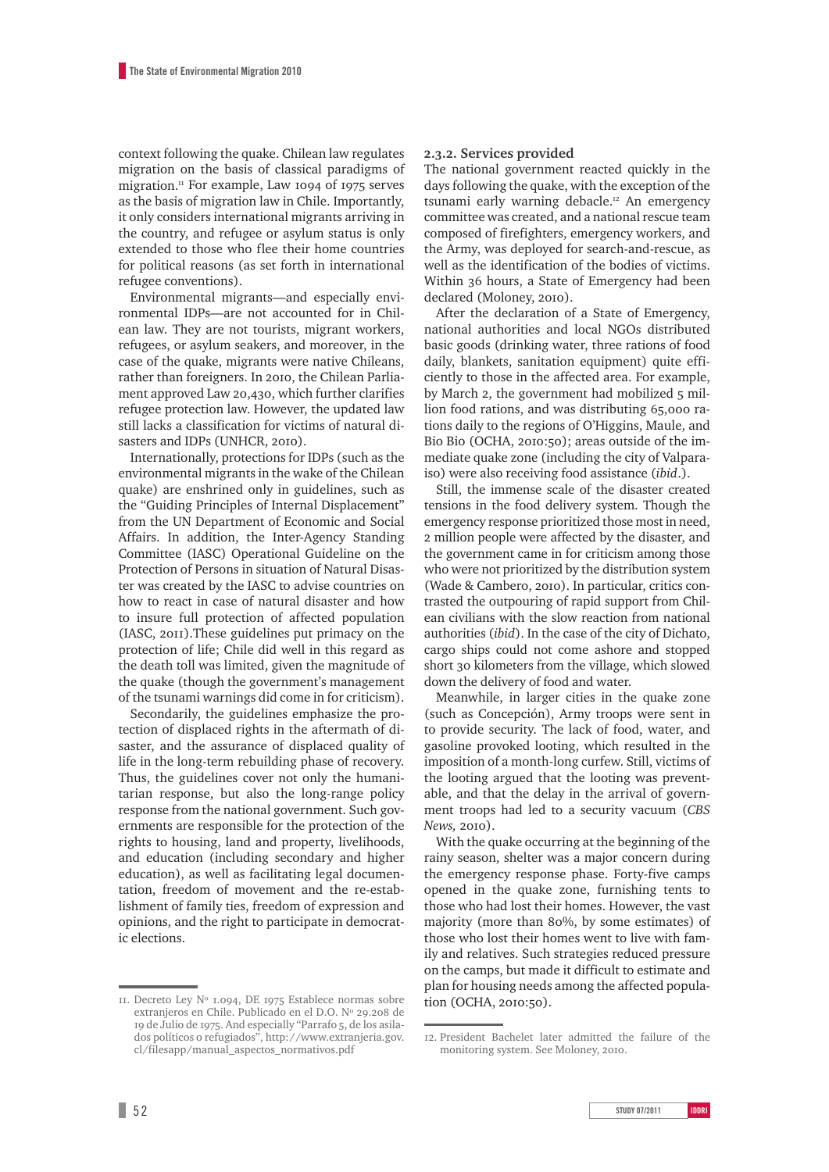context following the quake. Chilean law regulates migration on the basis of classical paradigms of migration. $\text{I}$  For example, Law 1094 of 1975 serves as the basis of migration law in Chile. Importantly, it only considers international migrants arriving in the country, and refugee or asylum status is only extended to those who flee their home countries for political reasons (as set forth in international refugee conventions).

Environmental migrants—and especially environmental IDPs—are not accounted for in Chilean law. They are not tourists, migrant workers, refugees, or asylum seakers, and moreover, in the case of the quake, migrants were native Chileans, rather than foreigners. In 2010, the Chilean Parliament approved Law 20,430, which further clarifies refugee protection law. However, the updated law still lacks a classification for victims of natural disasters and IDPs (UNHCR, 2010).

Internationally, protections for IDPs (such as the environmental migrants in the wake of the Chilean quake) are enshrined only in guidelines, such as the "Guiding Principles of Internal Displacement" from the UN Department of Economic and Social Affairs. In addition, the Inter-Agency Standing Committee (IASC) Operational Guideline on the Protection of Persons in situation of Natural Disaster was created by the IASC to advise countries on how to react in case of natural disaster and how to insure full protection of affected population (IASC, 2011).These guidelines put primacy on the protection of life; Chile did well in this regard as the death toll was limited, given the magnitude of the quake (though the government's management of the tsunami warnings did come in for criticism).

Secondarily, the guidelines emphasize the protection of displaced rights in the aftermath of disaster, and the assurance of displaced quality of life in the long-term rebuilding phase of recovery. Thus, the guidelines cover not only the humanitarian response, but also the long-range policy response from the national government. Such governments are responsible for the protection of the rights to housing, land and property, livelihoods, and education (including secondary and higher education), as well as facilitating legal documentation, freedom of movement and the re-establishment of family ties, freedom of expression and opinions, and the right to participate in democratic elections.

#### **2.3.2. Services provided**

The national government reacted quickly in the days following the quake, with the exception of the tsunami early warning debacle.<sup>12</sup> An emergency committee was created, and a national rescue team composed of firefighters, emergency workers, and the Army, was deployed for search-and-rescue, as well as the identification of the bodies of victims. Within 36 hours, a State of Emergency had been declared (Moloney, 2010).

After the declaration of a State of Emergency, national authorities and local NGOs distributed basic goods (drinking water, three rations of food daily, blankets, sanitation equipment) quite efficiently to those in the affected area. For example, by March 2, the government had mobilized 5 million food rations, and was distributing 65,000 rations daily to the regions of O'Higgins, Maule, and Bio Bio (OCHA, 2010:50); areas outside of the immediate quake zone (including the city of Valparaiso) were also receiving food assistance (*ibid*.).

Still, the immense scale of the disaster created tensions in the food delivery system. Though the emergency response prioritized those most in need, 2 million people were affected by the disaster, and the government came in for criticism among those who were not prioritized by the distribution system (Wade & Cambero, 2010). In particular, critics contrasted the outpouring of rapid support from Chilean civilians with the slow reaction from national authorities (*ibid*). In the case of the city of Dichato, cargo ships could not come ashore and stopped short 30 kilometers from the village, which slowed down the delivery of food and water.

Meanwhile, in larger cities in the quake zone (such as Concepción), Army troops were sent in to provide security. The lack of food, water, and gasoline provoked looting, which resulted in the imposition of a month-long curfew. Still, victims of the looting argued that the looting was preventable, and that the delay in the arrival of government troops had led to a security vacuum (*CBS News,* 2010).

With the quake occurring at the beginning of the rainy season, shelter was a major concern during the emergency response phase. Forty-five camps opened in the quake zone, furnishing tents to those who had lost their homes. However, the vast majority (more than 80%, by some estimates) of those who lost their homes went to live with family and relatives. Such strategies reduced pressure on the camps, but made it difficult to estimate and plan for housing needs among the affected population (OCHA, 2010:50).

<sup>11.</sup> Decreto Ley Nº 1.094, DE 1975 Establece normas sobre extranjeros en Chile. Publicado en el D.O. Nº 29.208 de 19 de Julio de 1975. And especially "Parrafo 5, de los asilados políticos o refugiados", http://www.extranjeria.gov. cl/filesapp/manual\_aspectos\_normativos.pdf

<sup>12.</sup> President Bachelet later admitted the failure of the monitoring system. See Moloney, 2010.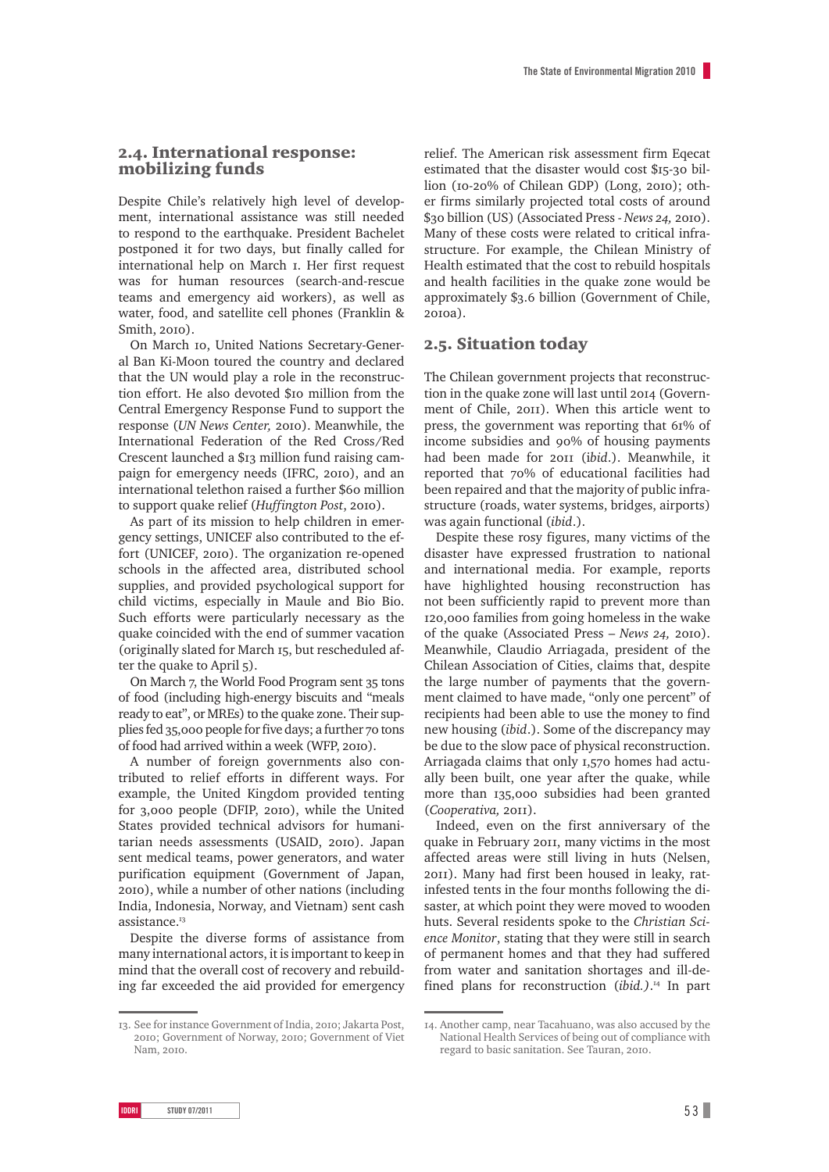## 2.4. International response: mobilizing funds

Despite Chile's relatively high level of development, international assistance was still needed to respond to the earthquake. President Bachelet postponed it for two days, but finally called for international help on March 1. Her first request was for human resources (search-and-rescue teams and emergency aid workers), as well as water, food, and satellite cell phones (Franklin & Smith, 2010).

On March 10, United Nations Secretary-General Ban Ki-Moon toured the country and declared that the UN would play a role in the reconstruction effort. He also devoted \$10 million from the Central Emergency Response Fund to support the response (*UN News Center,* 2010). Meanwhile, the International Federation of the Red Cross/Red Crescent launched a \$13 million fund raising campaign for emergency needs (IFRC, 2010), and an international telethon raised a further \$60 million to support quake relief (*Huffington Post*, 2010).

As part of its mission to help children in emergency settings, UNICEF also contributed to the effort (UNICEF, 2010). The organization re-opened schools in the affected area, distributed school supplies, and provided psychological support for child victims, especially in Maule and Bio Bio. Such efforts were particularly necessary as the quake coincided with the end of summer vacation (originally slated for March 15, but rescheduled after the quake to April 5).

On March 7, the World Food Program sent 35 tons of food (including high-energy biscuits and "meals ready to eat", or MREs) to the quake zone. Their supplies fed 35,000 people for five days; a further 70 tons of food had arrived within a week (WFP, 2010).

A number of foreign governments also contributed to relief efforts in different ways. For example, the United Kingdom provided tenting for 3,000 people (DFIP, 2010), while the United States provided technical advisors for humanitarian needs assessments (USAID, 2010). Japan sent medical teams, power generators, and water purification equipment (Government of Japan, 2010), while a number of other nations (including India, Indonesia, Norway, and Vietnam) sent cash assistance<sup>13</sup>

Despite the diverse forms of assistance from many international actors, it is important to keep in mind that the overall cost of recovery and rebuilding far exceeded the aid provided for emergency relief. The American risk assessment firm Eqecat estimated that the disaster would cost \$15-30 billion (10-20% of Chilean GDP) (Long, 2010); other firms similarly projected total costs of around \$30 billion (US) (Associated Press - *News 24,* 2010). Many of these costs were related to critical infrastructure. For example, the Chilean Ministry of Health estimated that the cost to rebuild hospitals and health facilities in the quake zone would be approximately \$3.6 billion (Government of Chile, 2010a).

## 2.5. Situation today

The Chilean government projects that reconstruction in the quake zone will last until 2014 (Government of Chile, 2011). When this article went to press, the government was reporting that 61% of income subsidies and 90% of housing payments had been made for 2011 (i*bid*.). Meanwhile, it reported that 70% of educational facilities had been repaired and that the majority of public infrastructure (roads, water systems, bridges, airports) was again functional (*ibid*.).

Despite these rosy figures, many victims of the disaster have expressed frustration to national and international media. For example, reports have highlighted housing reconstruction has not been sufficiently rapid to prevent more than 120,000 families from going homeless in the wake of the quake (Associated Press – *News 24,* 2010). Meanwhile, Claudio Arriagada, president of the Chilean Association of Cities, claims that, despite the large number of payments that the government claimed to have made, "only one percent" of recipients had been able to use the money to find new housing (*ibid*.). Some of the discrepancy may be due to the slow pace of physical reconstruction. Arriagada claims that only 1,570 homes had actually been built, one year after the quake, while more than 135,000 subsidies had been granted (*Cooperativa,* 2011).

Indeed, even on the first anniversary of the quake in February 2011, many victims in the most affected areas were still living in huts (Nelsen, 2011). Many had first been housed in leaky, ratinfested tents in the four months following the disaster, at which point they were moved to wooden huts. Several residents spoke to the *Christian Science Monitor*, stating that they were still in search of permanent homes and that they had suffered from water and sanitation shortages and ill-defined plans for reconstruction (*ibid.)*. 14 In part

<sup>13.</sup> See for instance Government of India, 2010; Jakarta Post, 2010; Government of Norway, 2010; Government of Viet Nam, 2010.

<sup>14.</sup> Another camp, near Tacahuano, was also accused by the National Health Services of being out of compliance with regard to basic sanitation. See Tauran, 2010.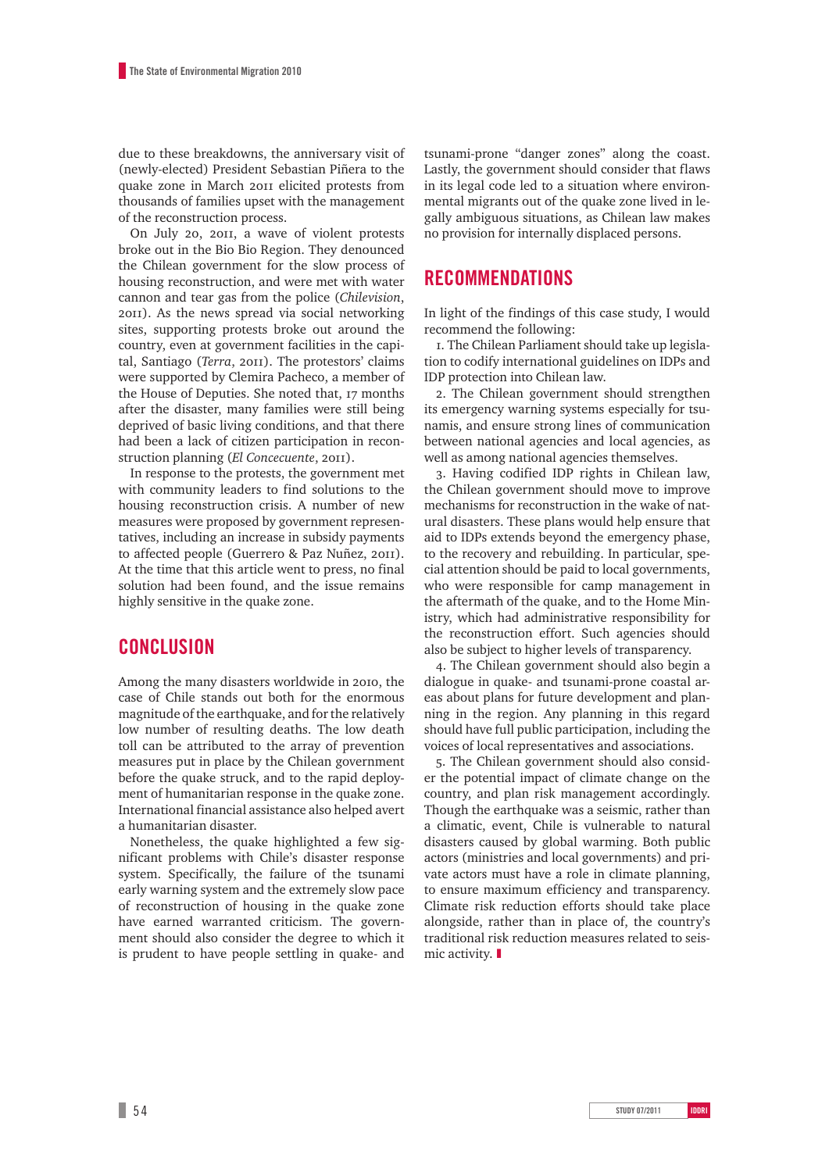due to these breakdowns, the anniversary visit of (newly-elected) President Sebastian Piñera to the quake zone in March 2011 elicited protests from thousands of families upset with the management of the reconstruction process.

On July 20, 2011, a wave of violent protests broke out in the Bio Bio Region. They denounced the Chilean government for the slow process of housing reconstruction, and were met with water cannon and tear gas from the police (*Chilevision*, 2011). As the news spread via social networking sites, supporting protests broke out around the country, even at government facilities in the capital, Santiago (*Terra*, 2011). The protestors' claims were supported by Clemira Pacheco, a member of the House of Deputies. She noted that, 17 months after the disaster, many families were still being deprived of basic living conditions, and that there had been a lack of citizen participation in reconstruction planning (*El Concecuente*, 2011).

In response to the protests, the government met with community leaders to find solutions to the housing reconstruction crisis. A number of new measures were proposed by government representatives, including an increase in subsidy payments to affected people (Guerrero & Paz Nuñez, 2011). At the time that this article went to press, no final solution had been found, and the issue remains highly sensitive in the quake zone.

# **Conclusion**

Among the many disasters worldwide in 2010, the case of Chile stands out both for the enormous magnitude of the earthquake, and for the relatively low number of resulting deaths. The low death toll can be attributed to the array of prevention measures put in place by the Chilean government before the quake struck, and to the rapid deployment of humanitarian response in the quake zone. International financial assistance also helped avert a humanitarian disaster.

Nonetheless, the quake highlighted a few significant problems with Chile's disaster response system. Specifically, the failure of the tsunami early warning system and the extremely slow pace of reconstruction of housing in the quake zone have earned warranted criticism. The government should also consider the degree to which it is prudent to have people settling in quake- and

tsunami-prone "danger zones" along the coast. Lastly, the government should consider that flaws in its legal code led to a situation where environmental migrants out of the quake zone lived in legally ambiguous situations, as Chilean law makes no provision for internally displaced persons.

# **Recommendations**

In light of the findings of this case study, I would recommend the following:

1. The Chilean Parliament should take up legislation to codify international guidelines on IDPs and IDP protection into Chilean law.

2. The Chilean government should strengthen its emergency warning systems especially for tsunamis, and ensure strong lines of communication between national agencies and local agencies, as well as among national agencies themselves.

3. Having codified IDP rights in Chilean law, the Chilean government should move to improve mechanisms for reconstruction in the wake of natural disasters. These plans would help ensure that aid to IDPs extends beyond the emergency phase, to the recovery and rebuilding. In particular, special attention should be paid to local governments, who were responsible for camp management in the aftermath of the quake, and to the Home Ministry, which had administrative responsibility for the reconstruction effort. Such agencies should also be subject to higher levels of transparency.

4. The Chilean government should also begin a dialogue in quake- and tsunami-prone coastal areas about plans for future development and planning in the region. Any planning in this regard should have full public participation, including the voices of local representatives and associations.

5. The Chilean government should also consider the potential impact of climate change on the country, and plan risk management accordingly. Though the earthquake was a seismic, rather than a climatic, event, Chile is vulnerable to natural disasters caused by global warming. Both public actors (ministries and local governments) and private actors must have a role in climate planning, to ensure maximum efficiency and transparency. Climate risk reduction efforts should take place alongside, rather than in place of, the country's traditional risk reduction measures related to seismic activity. ❚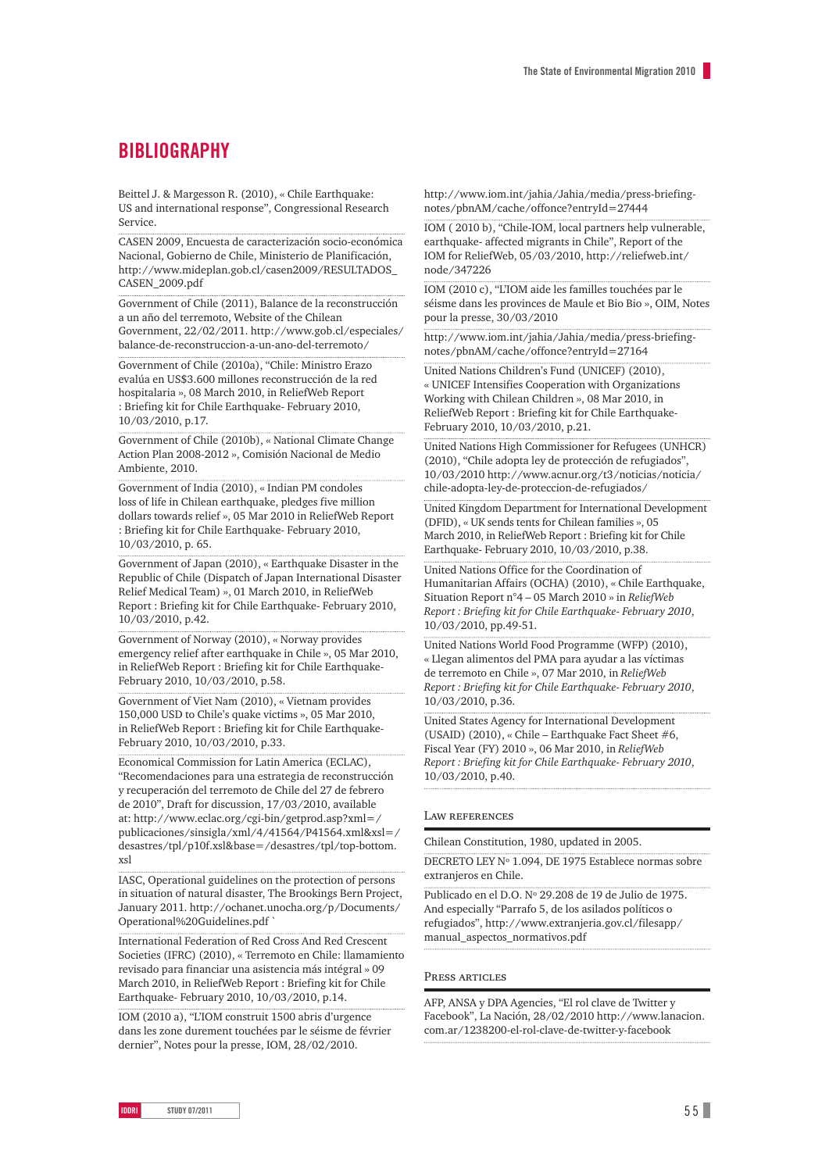# **BIBLIOGRAPHY**

Beittel J. & Margesson R. (2010), « Chile Earthquake: US and international response", Congressional Research Service.

CASEN 2009, Encuesta de caracterización socio-económica Nacional, Gobierno de Chile, Ministerio de Planificación, http://www.mideplan.gob.cl/casen2009/RESULTADOS\_ CASEN\_2009.pdf

Government of Chile (2011), Balance de la reconstrucción a un año del terremoto, Website of the Chilean Government, 22/02/2011. http://www.gob.cl/especiales/ balance-de-reconstruccion-a-un-ano-del-terremoto/

Government of Chile (2010a), "Chile: Ministro Erazo evalúa en US\$3.600 millones reconstrucción de la red hospitalaria », 08 March 2010, in ReliefWeb Report : Briefing kit for Chile Earthquake- February 2010, 10/03/2010, p.17.

Government of Chile (2010b), « National Climate Change Action Plan 2008-2012 », Comisión Nacional de Medio Ambiente, 2010.

Government of India (2010), « Indian PM condoles loss of life in Chilean earthquake, pledges five million dollars towards relief », 05 Mar 2010 in ReliefWeb Report : Briefing kit for Chile Earthquake- February 2010, 10/03/2010, p. 65.

Government of Japan (2010), « Earthquake Disaster in the Republic of Chile (Dispatch of Japan International Disaster Relief Medical Team) », 01 March 2010, in ReliefWeb Report : Briefing kit for Chile Earthquake- February 2010, 10/03/2010, p.42.

Government of Norway (2010), « Norway provides emergency relief after earthquake in Chile », 05 Mar 2010, in ReliefWeb Report : Briefing kit for Chile Earthquake-February 2010, 10/03/2010, p.58.

Government of Viet Nam (2010), « Vietnam provides 150,000 USD to Chile's quake victims », 05 Mar 2010, in ReliefWeb Report : Briefing kit for Chile Earthquake-February 2010, 10/03/2010, p.33.

Economical Commission for Latin America (ECLAC), "Recomendaciones para una estrategia de reconstrucción y recuperación del terremoto de Chile del 27 de febrero de 2010", Draft for discussion, 17/03/2010, available at: http://www.eclac.org/cgi-bin/getprod.asp?xml=/ publicaciones/sinsigla/xml/4/41564/P41564.xml&xsl=/ desastres/tpl/p10f.xsl&base=/desastres/tpl/top-bottom. xsl

IASC, Operational guidelines on the protection of persons in situation of natural disaster, The Brookings Bern Project, January 2011. http://ochanet.unocha.org/p/Documents/ Operational%20Guidelines.pdf `

International Federation of Red Cross And Red Crescent Societies (IFRC) (2010), « Terremoto en Chile: llamamiento revisado para financiar una asistencia más intégral » 09 March 2010, in ReliefWeb Report : Briefing kit for Chile Earthquake- February 2010, 10/03/2010, p.14.

IOM (2010 a), "L'IOM construit 1500 abris d'urgence dans les zone durement touchées par le séisme de février dernier", Notes pour la presse, IOM, 28/02/2010.

http://www.iom.int/jahia/Jahia/media/press-briefingnotes/pbnAM/cache/offonce?entryId=27444

IOM ( 2010 b), "Chile-IOM, local partners help vulnerable, earthquake- affected migrants in Chile", Report of the IOM for ReliefWeb, 05/03/2010, http://reliefweb.int/ node/347226

IOM (2010 c), "L'IOM aide les familles touchées par le séisme dans les provinces de Maule et Bio Bio », OIM, Notes pour la presse, 30/03/2010

http://www.iom.int/jahia/Jahia/media/press-briefingnotes/pbnAM/cache/offonce?entryId=27164

United Nations Children's Fund (UNICEF) (2010), « UNICEF Intensifies Cooperation with Organizations Working with Chilean Children », 08 Mar 2010, in ReliefWeb Report : Briefing kit for Chile Earthquake-February 2010, 10/03/2010, p.21.

United Nations High Commissioner for Refugees (UNHCR) (2010), "Chile adopta ley de protección de refugiados", 10/03/2010 http://www.acnur.org/t3/noticias/noticia/ chile-adopta-ley-de-proteccion-de-refugiados/

United Kingdom Department for International Development (DFID), « UK sends tents for Chilean families », 05 March 2010, in ReliefWeb Report : Briefing kit for Chile Earthquake- February 2010, 10/03/2010, p.38.

United Nations Office for the Coordination of Humanitarian Affairs (OCHA) (2010), « Chile Earthquake, Situation Report n°4 – 05 March 2010 » in *ReliefWeb Report : Briefing kit for Chile Earthquake- February 2010*, 10/03/2010, pp.49-51.

United Nations World Food Programme (WFP) (2010), « Llegan alimentos del PMA para ayudar a las víctimas de terremoto en Chile », 07 Mar 2010, in *ReliefWeb Report : Briefing kit for Chile Earthquake- February 2010*, 10/03/2010, p.36.

United States Agency for International Development (USAID) (2010), « Chile – Earthquake Fact Sheet #6, Fiscal Year (FY) 2010 », 06 Mar 2010, in *ReliefWeb Report : Briefing kit for Chile Earthquake- February 2010*, 10/03/2010, p.40.

#### Law references

Chilean Constitution, 1980, updated in 2005.

DECRETO LEY Nº 1.094, DE 1975 Establece normas sobre extranjeros en Chile.

Publicado en el D.O. Nº 29.208 de 19 de Julio de 1975. And especially "Parrafo 5, de los asilados políticos o refugiados", http://www.extranjeria.gov.cl/filesapp/ manual\_aspectos\_normativos.pdf

#### Press articles

AFP, ANSA y DPA Agencies, "El rol clave de Twitter y Facebook", La Nación, 28/02/2010 http://www.lanacion. com.ar/1238200-el-rol-clave-de-twitter-y-facebook